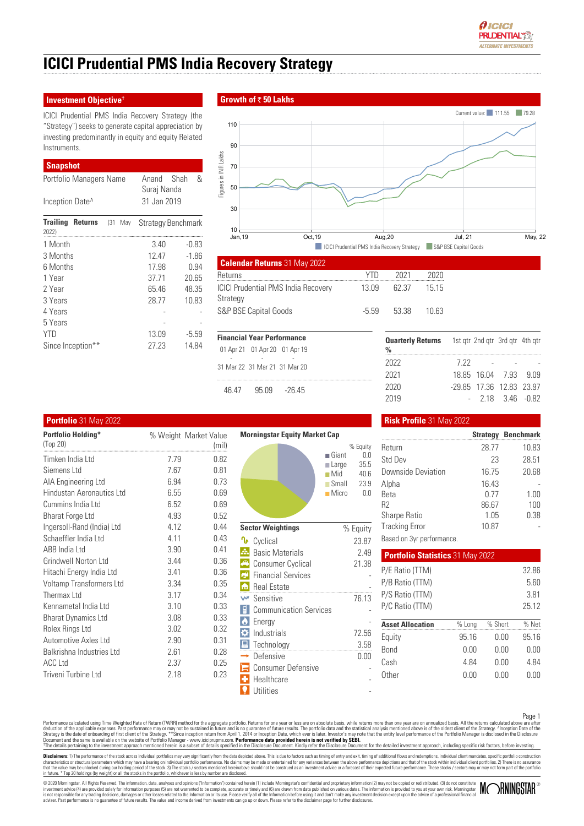

# **ICICI Prudential PMS India Recovery Strategy**

### **Investment Objective†**

ICICI Prudential PMS India Recovery Strategy (the "Strategy") seeks to generate capital appreciation by investing predominantly in equity and equity Related **Instruments** 

# **Snapshot**

| Portfolio Managers Name                     | &<br>Shah<br>Anand<br>Suraj Nanda |         |  |
|---------------------------------------------|-----------------------------------|---------|--|
| Inception Date <sup>^</sup>                 | 31 Jan 2019                       |         |  |
| <b>Trailing</b><br>Returns (31 May<br>2022) | <b>Strategy Benchmark</b>         |         |  |
| 1 Month                                     | 3.40                              | -0.83   |  |
| 3 Months                                    | 12.47                             | $-1.86$ |  |
| 6 Months                                    | 17.98                             | 0.94    |  |
| 1 Year                                      | 37.71                             | 20.65   |  |
| 2 Year                                      | 65.46                             | 48.35   |  |
| 3 Years                                     | 28.77                             | 10.83   |  |
| 4 Years                                     |                                   |         |  |
| 5 Years                                     |                                   |         |  |
| <b>YTD</b>                                  | 13.09                             | $-5.59$ |  |
| Since Inception**                           | 27.23                             | 14.84   |  |

# **Growth of 50 Lakhs**



| <b>Calendar Returns 31 May 2022</b>                    |         |       |       |  |
|--------------------------------------------------------|---------|-------|-------|--|
| Returns                                                | YTD     | 2021  | 2020  |  |
| <b>ICICI Prudential PMS India Recovery</b><br>Strategy | 13 09   | 62.37 | 15 15 |  |
| S&P BSE Capital Goods                                  | $-5.59$ | 53.38 | 1በ 63 |  |

| <b>Financial Year Performance</b> |                               |                 |  |  |  |
|-----------------------------------|-------------------------------|-----------------|--|--|--|
|                                   | 01 Apr 21 01 Apr 20 01 Apr 19 |                 |  |  |  |
|                                   | 31 Mar 22 31 Mar 21 31 Mar 20 |                 |  |  |  |
| 46.47                             |                               | $95.09 - 26.45$ |  |  |  |

| 7 22 |  |                                                                                                                                     |
|------|--|-------------------------------------------------------------------------------------------------------------------------------------|
|      |  |                                                                                                                                     |
|      |  |                                                                                                                                     |
|      |  |                                                                                                                                     |
|      |  | <b>Quarterly Returns</b> 1st gtr 2nd gtr 3rd gtr 4th gtr<br>18 85 16 04 7 93 9 09<br>-29.85 17.36 12.83 23.97<br>$-218$ 346 $-0.82$ |

| <b>Portfolio Holding*</b>  | % Weight Market Value |       | <b>Morningstar Equity Market Cap</b>      |                                                     |
|----------------------------|-----------------------|-------|-------------------------------------------|-----------------------------------------------------|
| (Top 20)                   |                       | (mil) |                                           | % Equity                                            |
| Timken India Ltd           | 7.79                  | 0.82  |                                           | $\blacksquare$ Giant<br>0.0                         |
| Siemens Ltd                | 7.67                  | 0.81  |                                           | 35.5<br><b>■Large</b><br>$\blacksquare$ Mid<br>40.6 |
| AIA Engineering Ltd        | 6.94                  | 0.73  |                                           | $\Box$ Small<br>23.9                                |
| Hindustan Aeronautics Ltd  | 6.55                  | 0.69  |                                           | $\blacksquare$ Micro<br>0.0                         |
| Cummins India Ltd          | 6.52                  | 0.69  |                                           |                                                     |
| <b>Bharat Forge Ltd</b>    | 4.93                  | 0.52  |                                           |                                                     |
| Ingersoll-Rand (India) Ltd | 4.12                  | 0.44  | <b>Sector Weightings</b>                  | % Equity                                            |
| Schaeffler India Ltd       | 4.11                  | 0.43  | <b>∿</b> Cyclical                         | 23.87                                               |
| ABB India Ltd              | 3.90                  | 0.41  | 五<br><b>Basic Materials</b>               | 2.49                                                |
| Grindwell Norton Ltd       | 3.44                  | 0.36  | $\blacktriangleleft$<br>Consumer Cyclical | 21.38                                               |
| Hitachi Energy India Ltd   | 3.41                  | 0.36  | <b>C</b> Financial Services               |                                                     |
| Voltamp Transformers Ltd   | 3.34                  | 0.35  | <b>n</b> Real Estate                      |                                                     |
| Thermax Ltd                | 3.17                  | 0.34  | Sensitive<br><b>W</b>                     | 76.13                                               |
| Kennametal India Ltd       | 3.10                  | 0.33  | <b>Communication Services</b>             |                                                     |
| <b>Bharat Dynamics Ltd</b> | 3.08                  | 0.33  | $ \bullet $<br>Energy                     |                                                     |
| Rolex Rings Ltd            | 3.02                  | 0.32  | $\bullet$ Industrials                     | 72.56                                               |
| Automotive Axles Ltd       | 2.90                  | 0.31  | Fechnology                                | 3.58                                                |
| Balkrishna Industries Ltd  | 2.61                  | 0.28  | Defensive                                 | 0.00                                                |
| <b>ACC Ltd</b>             | 2.37                  | 0.25  | $\Box$ Consumer Defensive                 |                                                     |
| Triveni Turbine Ltd        | 2.18                  | 0.23  | ÷<br>Healthcare                           |                                                     |
|                            |                       |       | Utilities                                 |                                                     |

### **Portfolio** 31 May 2022 **Risk Profile** 31 May 2022

|                           |       | <b>Strategy Benchmark</b> |
|---------------------------|-------|---------------------------|
| Return                    | 28.77 | 10.83                     |
| Std Dev                   | 23    | 28.51                     |
| <b>Downside Deviation</b> | 16.75 | 20.68                     |
| Alpha                     | 16.43 |                           |
| <b>Beta</b>               | 0.77  | 1.00                      |
| R <sub>2</sub>            | 86.67 | 100                       |
| Sharpe Ratio              | 1.05  | 0.38                      |
| <b>Tracking Error</b>     | 10.87 |                           |
| - - - -                   |       |                           |

Based on 3yr performance.

| <b>Portfolio Statistics 31 May 2022</b> |        |         |       |
|-----------------------------------------|--------|---------|-------|
| P/E Ratio (TTM)                         |        |         | 3286  |
| P/B Ratio (TTM)                         |        |         | 5.60  |
| P/S Ratio (TTM)                         |        |         | 381   |
| P/C Ratio (TTM)                         |        |         | 25.12 |
| <b>Asset Allocation</b>                 | % Long | % Short | % Net |
| Equity                                  | 9516   | N V V   | 9516  |
| <b>Bond</b>                             | 0 OO   | N V V   | N V V |
| Cash                                    | 4 84   | N V V   | 4 84  |
| 0ther                                   | N V V  | N V V   | N VU  |
|                                         |        |         |       |

Parformance calculated using Time Weighted Rate of Retum (TWRR) method for the aggregate portfolio. Returns for one year or less are on absolute basis, while returns more than one year are on annualized basis. All the retu

Disclaimers: 1) The performance of the stock across Individual portfolios may vary significantly from the data depicted above. This is due to factors such as timing of entry and axit, timing of additional flows and redempt

© 2020 Morningstar. All Rights Reserved. The information, data, analyses and opinions ("Information") contained herein (1) include Morningstar's confidential and proprietary information (2) may not be copied or redistribut

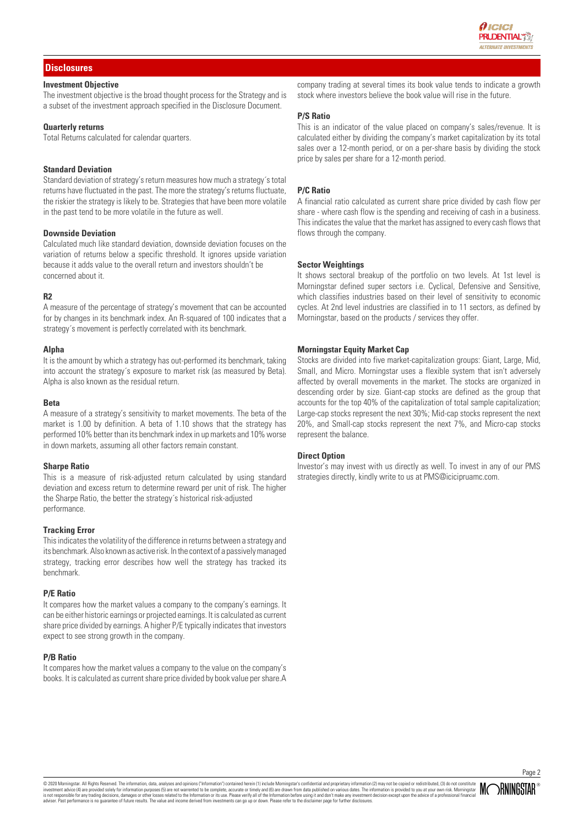

# **Disclosures**

# **Investment Objective**

The investment objective is the broad thought process for the Strategy and is a subset of the investment approach specified in the Disclosure Document.

#### **Quarterly returns**

Total Returns calculated for calendar quarters.

# **Standard Deviation**

Standard deviation of strategy's return measures how much a strategy´s total returns have fluctuated in the past. The more the strategy's returns fluctuate, the riskier the strategy is likely to be. Strategies that have been more volatile in the past tend to be more volatile in the future as well.

#### **Downside Deviation**

Calculated much like standard deviation, downside deviation focuses on the variation of returns below a specific threshold. It ignores upside variation because it adds value to the overall return and investors shouldn't be concerned about it.

#### **R2**

A measure of the percentage of strategy's movement that can be accounted for by changes in its benchmark index. An R-squared of 100 indicates that a strategy´s movement is perfectly correlated with its benchmark.

#### **Alpha**

It is the amount by which a strategy has out-performed its benchmark, taking into account the strategy´s exposure to market risk (as measured by Beta). Alpha is also known as the residual return.

#### **Beta**

A measure of a strategy's sensitivity to market movements. The beta of the market is 1.00 by definition. A beta of 1.10 shows that the strategy has performed 10% better than its benchmark index in up markets and 10% worse in down markets, assuming all other factors remain constant.

#### **Sharpe Ratio**

This is a measure of risk-adjusted return calculated by using standard deviation and excess return to determine reward per unit of risk. The higher the Sharpe Ratio, the better the strategy´s historical risk-adjusted performance.

#### **Tracking Error**

This indicates the volatility of the difference in returns between a strategy and its benchmark. Also known as active risk. In the context of a passively managed strategy, tracking error describes how well the strategy has tracked its benchmark.

#### **P/E Ratio**

It compares how the market values a company to the company's earnings. It can be either historic earnings or projected earnings. It is calculated as current share price divided by earnings. A higher P/E typically indicates that investors expect to see strong growth in the company.

#### **P/B Ratio**

It compares how the market values a company to the value on the company's books. It is calculated as current share price divided by book value per share.A

company trading at several times its book value tends to indicate a growth stock where investors believe the book value will rise in the future.

#### **P/S Ratio**

This is an indicator of the value placed on company's sales/revenue. It is calculated either by dividing the company's market capitalization by its total sales over a 12-month period, or on a per-share basis by dividing the stock price by sales per share for a 12-month period.

# **P/C Ratio**

A financial ratio calculated as current share price divided by cash flow per share - where cash flow is the spending and receiving of cash in a business. This indicates the value that the market has assigned to every cash flows that flows through the company.

#### **Sector Weightings**

It shows sectoral breakup of the portfolio on two levels. At 1st level is Morningstar defined super sectors i.e. Cyclical, Defensive and Sensitive, which classifies industries based on their level of sensitivity to economic cycles. At 2nd level industries are classified in to 11 sectors, as defined by Morningstar, based on the products / services they offer.

# **Morningstar Equity Market Cap**

Stocks are divided into five market-capitalization groups: Giant, Large, Mid, Small, and Micro. Morningstar uses a flexible system that isn't adversely affected by overall movements in the market. The stocks are organized in descending order by size. Giant-cap stocks are defined as the group that accounts for the top 40% of the capitalization of total sample capitalization; Large-cap stocks represent the next 30%; Mid-cap stocks represent the next 20%, and Small-cap stocks represent the next 7%, and Micro-cap stocks represent the balance.

#### **Direct Option**

Investor's may invest with us directly as well. To invest in any of our PMS strategies directly, kindly write to us at PMS@icicipruamc.com.

© 2020 Morningstar. All Rights Reserved. The information, data, analyses and opinions ("Information") contained herein (1) include Morningstar's confidential and proprietary information (2) may not be copied or redistribut